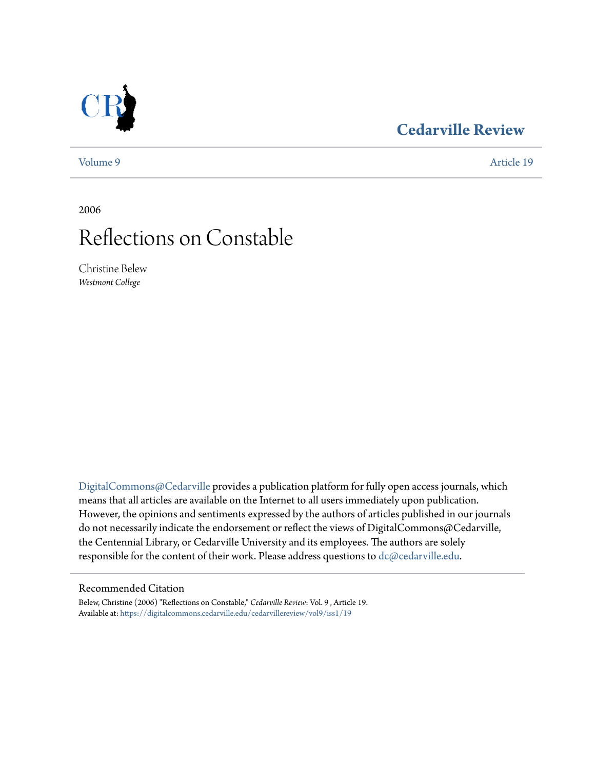# **[Cedarville Review](https://digitalcommons.cedarville.edu/cedarvillereview?utm_source=digitalcommons.cedarville.edu%2Fcedarvillereview%2Fvol9%2Fiss1%2F19&utm_medium=PDF&utm_campaign=PDFCoverPages)**

[Volume 9](https://digitalcommons.cedarville.edu/cedarvillereview/vol9?utm_source=digitalcommons.cedarville.edu%2Fcedarvillereview%2Fvol9%2Fiss1%2F19&utm_medium=PDF&utm_campaign=PDFCoverPages) [Article 19](https://digitalcommons.cedarville.edu/cedarvillereview/vol9/iss1/19?utm_source=digitalcommons.cedarville.edu%2Fcedarvillereview%2Fvol9%2Fiss1%2F19&utm_medium=PDF&utm_campaign=PDFCoverPages)

2006

# Reflections on Constable

Christine Belew *Westmont College*

[DigitalCommons@Cedarville](http://digitalcommons.cedarville.edu) provides a publication platform for fully open access journals, which means that all articles are available on the Internet to all users immediately upon publication. However, the opinions and sentiments expressed by the authors of articles published in our journals do not necessarily indicate the endorsement or reflect the views of DigitalCommons@Cedarville, the Centennial Library, or Cedarville University and its employees. The authors are solely responsible for the content of their work. Please address questions to [dc@cedarville.edu](mailto:dc@cedarville.edu).

#### Recommended Citation

Belew, Christine (2006) "Reflections on Constable," *Cedarville Review*: Vol. 9 , Article 19. Available at: [https://digitalcommons.cedarville.edu/cedarvillereview/vol9/iss1/19](https://digitalcommons.cedarville.edu/cedarvillereview/vol9/iss1/19?utm_source=digitalcommons.cedarville.edu%2Fcedarvillereview%2Fvol9%2Fiss1%2F19&utm_medium=PDF&utm_campaign=PDFCoverPages)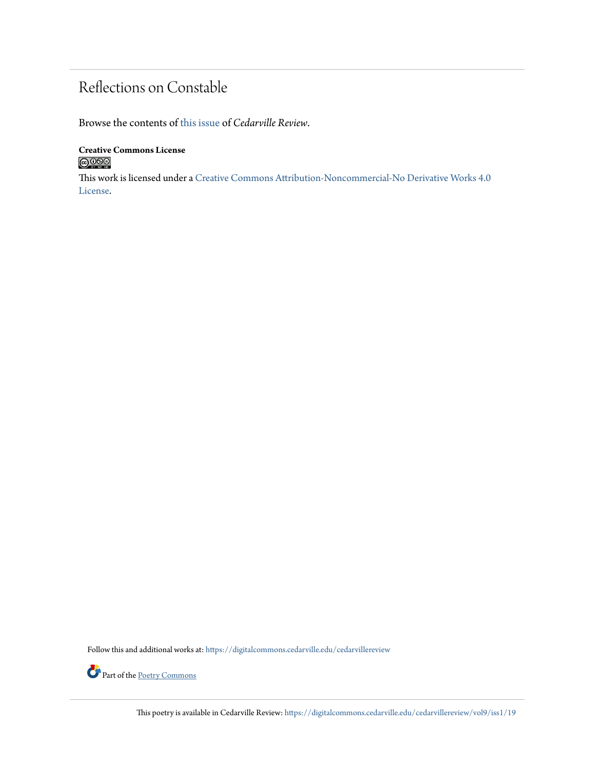# Reflections on Constable

Browse the contents of [this issue](https://digitalcommons.cedarville.edu/cedarvillereview/vol9/iss1) of *Cedarville Review*.

### **Creative Commons License**  $\bigcirc$  000

This work is licensed under a [Creative Commons Attribution-Noncommercial-No Derivative Works 4.0](http://creativecommons.org/licenses/by-nc-nd/4.0/) [License.](http://creativecommons.org/licenses/by-nc-nd/4.0/)

Follow this and additional works at: [https://digitalcommons.cedarville.edu/cedarvillereview](https://digitalcommons.cedarville.edu/cedarvillereview?utm_source=digitalcommons.cedarville.edu%2Fcedarvillereview%2Fvol9%2Fiss1%2F19&utm_medium=PDF&utm_campaign=PDFCoverPages)



This poetry is available in Cedarville Review: [https://digitalcommons.cedarville.edu/cedarvillereview/vol9/iss1/19](https://digitalcommons.cedarville.edu/cedarvillereview/vol9/iss1/19?utm_source=digitalcommons.cedarville.edu%2Fcedarvillereview%2Fvol9%2Fiss1%2F19&utm_medium=PDF&utm_campaign=PDFCoverPages)